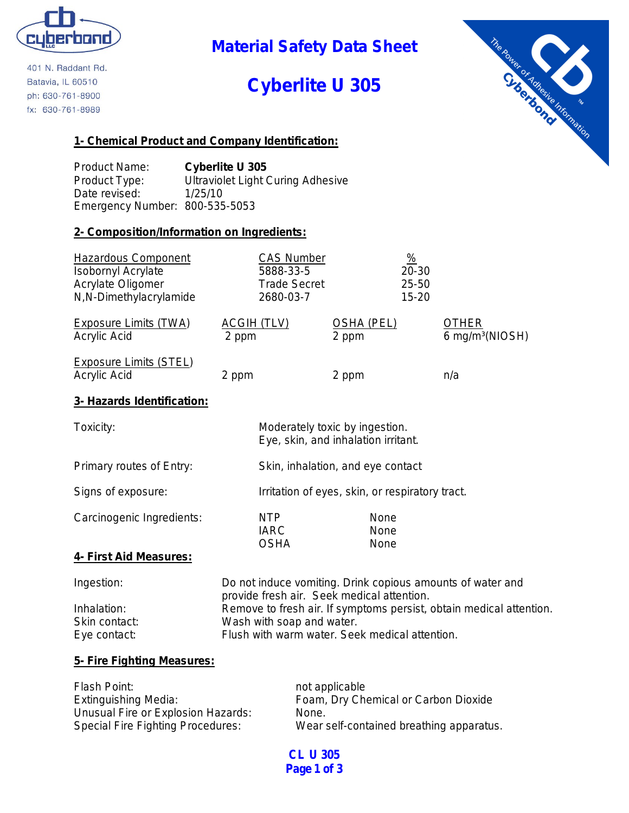

401 N. Raddant Rd. Batavia, IL 60510 ph: 630-761-8900 fx: 630-761-8989

## **Material Safety Data Sheet**

# **Cyberlite U 305**



### **1- Chemical Product and Company Identification:**

Product Name: **Cyberlite U 305** Product Type: Ultraviolet Light Curing Adhesive Date revised: 1/25/10 Emergency Number: 800-535-5053

### **2- Composition/Information on Ingredients:**

| <b>Hazardous Component</b><br><b>Isobornyl Acrylate</b><br>Acrylate Oligomer<br>N,N-Dimethylacrylamide | <b>CAS Number</b><br>5888-33-5<br><b>Trade Secret</b><br>2680-03-7                                       |                                                 | $\frac{9}{6}$<br>20-30<br>25-50<br>$15 - 20$ |                                                                     |
|--------------------------------------------------------------------------------------------------------|----------------------------------------------------------------------------------------------------------|-------------------------------------------------|----------------------------------------------|---------------------------------------------------------------------|
| Exposure Limits (TWA)<br><b>Acrylic Acid</b>                                                           | <u>ACGIH (TLV)</u><br>2 ppm                                                                              | OSHA (PEL)<br>2 ppm                             |                                              | <b>OTHER</b><br>6 mg/m <sup>3</sup> (NIOSH)                         |
| <b>Exposure Limits (STEL)</b><br>Acrylic Acid                                                          | 2 ppm                                                                                                    | 2 ppm                                           |                                              | n/a                                                                 |
| 3- Hazards Identification:                                                                             |                                                                                                          |                                                 |                                              |                                                                     |
| Toxicity:                                                                                              | Moderately toxic by ingestion.                                                                           | Eye, skin, and inhalation irritant.             |                                              |                                                                     |
| Primary routes of Entry:                                                                               |                                                                                                          | Skin, inhalation, and eye contact               |                                              |                                                                     |
| Signs of exposure:                                                                                     |                                                                                                          | Irritation of eyes, skin, or respiratory tract. |                                              |                                                                     |
| Carcinogenic Ingredients:                                                                              | <b>NTP</b><br><b>IARC</b><br><b>OSHA</b>                                                                 | None<br>None<br>None                            |                                              |                                                                     |
| 4- First Aid Measures:                                                                                 |                                                                                                          |                                                 |                                              |                                                                     |
| Ingestion:                                                                                             | Do not induce vomiting. Drink copious amounts of water and<br>provide fresh air. Seek medical attention. |                                                 |                                              |                                                                     |
| Inhalation:<br>Skin contact:<br>Eye contact:                                                           | Wash with soap and water.<br>Flush with warm water. Seek medical attention.                              |                                                 |                                              | Remove to fresh air. If symptoms persist, obtain medical attention. |

### **5- Fire Fighting Measures:**

| Flash Point:                       | not applicable                           |
|------------------------------------|------------------------------------------|
| <b>Extinguishing Media:</b>        | Foam, Dry Chemical or Carbon Dioxide     |
| Unusual Fire or Explosion Hazards: | None.                                    |
| Special Fire Fighting Procedures:  | Wear self-contained breathing apparatus. |

**CL U 305 Page 1 of 3**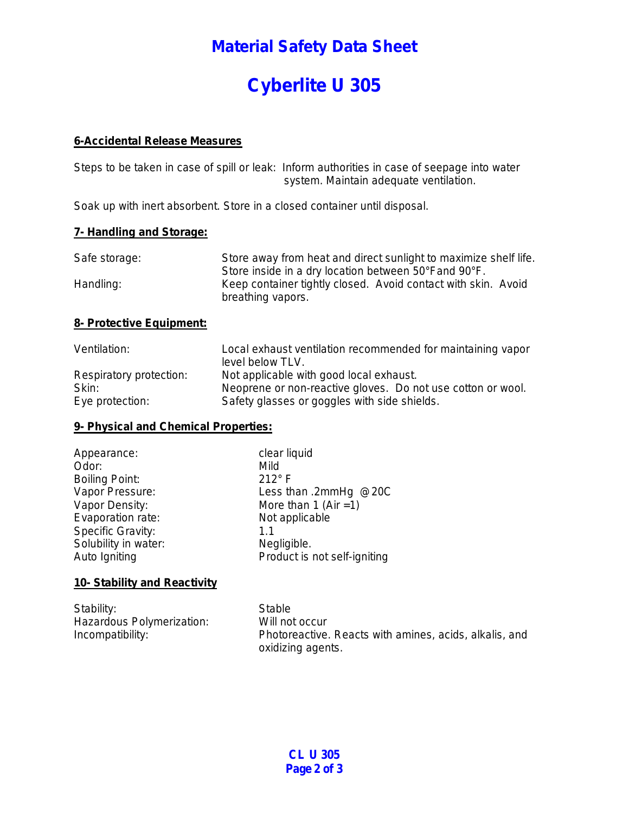### **Material Safety Data Sheet**

# **Cyberlite U 305**

#### **6-Accidental Release Measures**

Steps to be taken in case of spill or leak: Inform authorities in case of seepage into water system. Maintain adequate ventilation.

Soak up with inert absorbent. Store in a closed container until disposal.

#### **7- Handling and Storage:**

| Safe storage: | Store away from heat and direct sunlight to maximize shelf life. |
|---------------|------------------------------------------------------------------|
|               | Store inside in a dry location between 50°Fand 90°F.             |
| Handling:     | Keep container tightly closed. Avoid contact with skin. Avoid    |
|               | breathing vapors.                                                |

#### **8- Protective Equipment:**

| Ventilation:            | Local exhaust ventilation recommended for maintaining vapor<br>level below TLV. |
|-------------------------|---------------------------------------------------------------------------------|
| Respiratory protection: | Not applicable with good local exhaust.                                         |
| Skin:                   | Neoprene or non-reactive gloves. Do not use cotton or wool.                     |
| Eye protection:         | Safety glasses or goggles with side shields.                                    |

#### **9- Physical and Chemical Properties:**

| Appearance:           | clear liquid                 |
|-----------------------|------------------------------|
| Odor:                 | Mild                         |
| <b>Boiling Point:</b> | $212^{\circ}$ F              |
| Vapor Pressure:       | Less than .2mmHg @20C        |
| Vapor Density:        | More than 1 (Air $=1$ )      |
| Evaporation rate:     | Not applicable               |
| Specific Gravity:     | 11                           |
| Solubility in water:  | Negligible.                  |
| Auto Igniting         | Product is not self-igniting |

#### **10- Stability and Reactivity**

| Stability:                | Stable                                                 |
|---------------------------|--------------------------------------------------------|
| Hazardous Polymerization: | Will not occur                                         |
| Incompatibility:          | Photoreactive. Reacts with amines, acids, alkalis, and |
|                           | oxidizing agents.                                      |